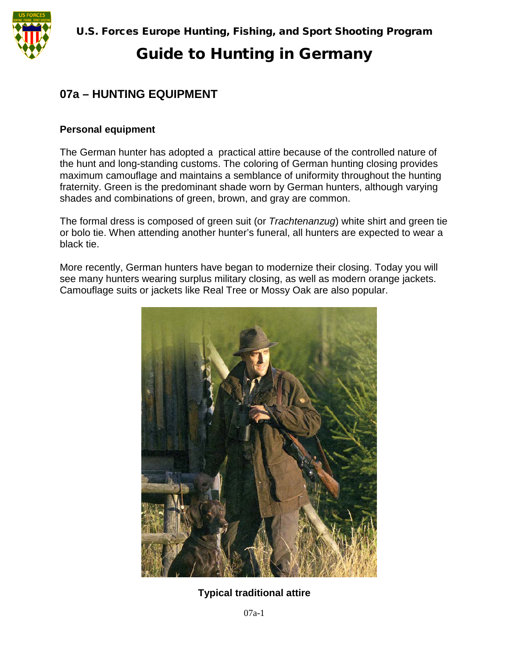

# Guide to Hunting in Germany

### **07a – HUNTING EQUIPMENT**

#### **Personal equipment**

The German hunter has adopted a practical attire because of the controlled nature of the hunt and long-standing customs. The coloring of German hunting closing provides maximum camouflage and maintains a semblance of uniformity throughout the hunting fraternity. Green is the predominant shade worn by German hunters, although varying shades and combinations of green, brown, and gray are common.

The formal dress is composed of green suit (or *Trachtenanzug*) white shirt and green tie or bolo tie. When attending another hunter's funeral, all hunters are expected to wear a black tie.

More recently, German hunters have began to modernize their closing. Today you will see many hunters wearing surplus military closing, as well as modern orange jackets. Camouflage suits or jackets like Real Tree or Mossy Oak are also popular.



**Typical traditional attire**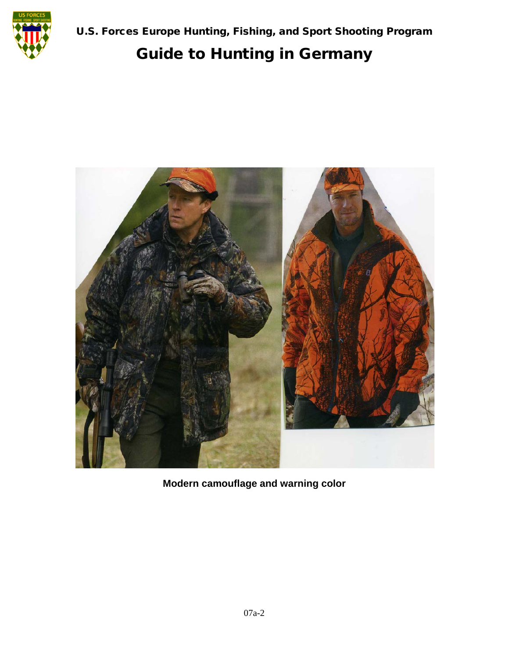

# Guide to Hunting in Germany



**Modern camouflage and warning color**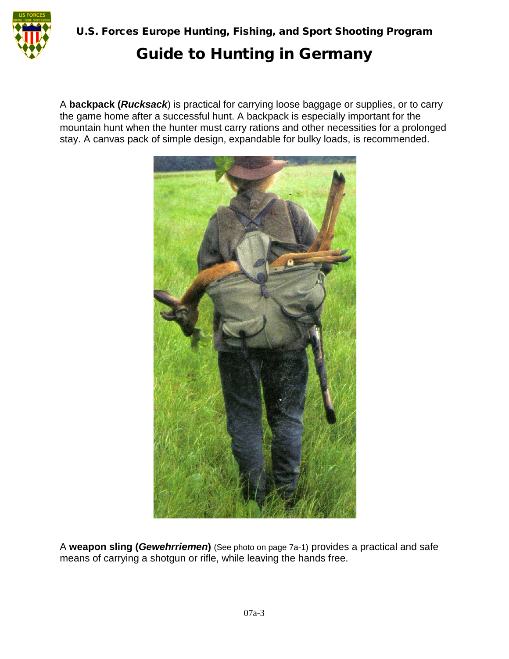

### Guide to Hunting in Germany

A **backpack (***Rucksack*) is practical for carrying loose baggage or supplies, or to carry the game home after a successful hunt. A backpack is especially important for the mountain hunt when the hunter must carry rations and other necessities for a prolonged stay. A canvas pack of simple design, expandable for bulky loads, is recommended.



A **weapon sling (***Gewehrriemen***)** (See photo on page 7a-1) provides a practical and safe means of carrying a shotgun or rifle, while leaving the hands free.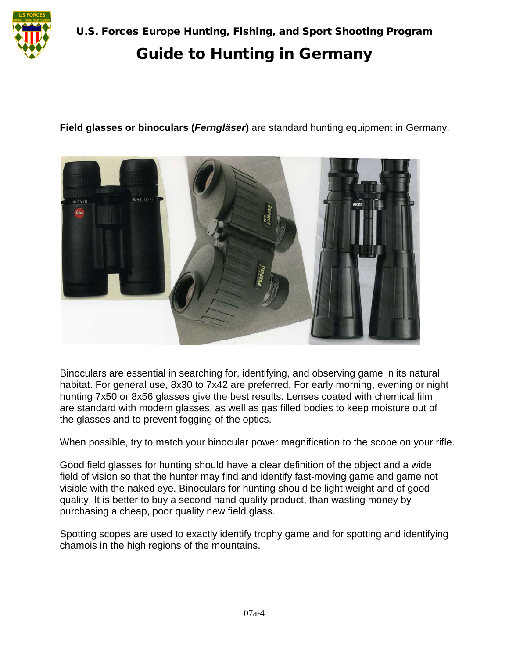

U.S. Forces Europe Hunting, Fishing, and Sport Shooting Program

# Guide to Hunting in Germany

**Field glasses or binoculars (***Ferngläser***)** are standard hunting equipment in Germany.



Binoculars are essential in searching for, identifying, and observing game in its natural habitat. For general use, 8x30 to 7x42 are preferred. For early morning, evening or night hunting 7x50 or 8x56 glasses give the best results. Lenses coated with chemical film are standard with modern glasses, as well as gas filled bodies to keep moisture out of the glasses and to prevent fogging of the optics.

When possible, try to match your binocular power magnification to the scope on your rifle.

Good field glasses for hunting should have a clear definition of the object and a wide field of vision so that the hunter may find and identify fast-moving game and game not visible with the naked eye. Binoculars for hunting should be light weight and of good quality. It is better to buy a second hand quality product, than wasting money by purchasing a cheap, poor quality new field glass.

Spotting scopes are used to exactly identify trophy game and for spotting and identifying chamois in the high regions of the mountains.